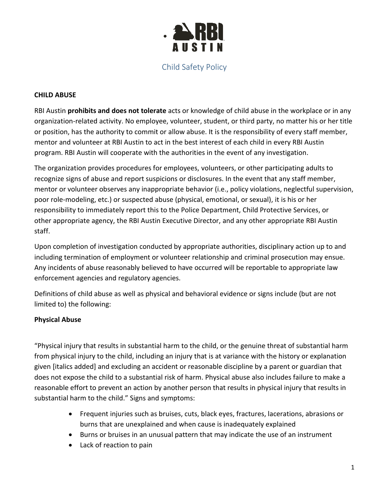

Child Safety Policy

#### **CHILD ABUSE**

RBI Austin **prohibits and does not tolerate** acts or knowledge of child abuse in the workplace or in any organization-related activity. No employee, volunteer, student, or third party, no matter his or her title or position, has the authority to commit or allow abuse. It is the responsibility of every staff member, mentor and volunteer at RBI Austin to act in the best interest of each child in every RBI Austin program. RBI Austin will cooperate with the authorities in the event of any investigation.

The organization provides procedures for employees, volunteers, or other participating adults to recognize signs of abuse and report suspicions or disclosures. In the event that any staff member, mentor or volunteer observes any inappropriate behavior (i.e., policy violations, neglectful supervision, poor role-modeling, etc.) or suspected abuse (physical, emotional, or sexual), it is his or her responsibility to immediately report this to the Police Department, Child Protective Services, or other appropriate agency, the RBI Austin Executive Director, and any other appropriate RBI Austin staff.

Upon completion of investigation conducted by appropriate authorities, disciplinary action up to and including termination of employment or volunteer relationship and criminal prosecution may ensue. Any incidents of abuse reasonably believed to have occurred will be reportable to appropriate law enforcement agencies and regulatory agencies.

Definitions of child abuse as well as physical and behavioral evidence or signs include (but are not limited to) the following:

# **Physical Abuse**

"Physical injury that results in substantial harm to the child, or the genuine threat of substantial harm from physical injury to the child, including an injury that is at variance with the history or explanation given [italics added] and excluding an accident or reasonable discipline by a parent or guardian that does not expose the child to a substantial risk of harm. Physical abuse also includes failure to make a reasonable effort to prevent an action by another person that results in physical injury that results in substantial harm to the child." Signs and symptoms:

- Frequent injuries such as bruises, cuts, black eyes, fractures, lacerations, abrasions or burns that are unexplained and when cause is inadequately explained
- Burns or bruises in an unusual pattern that may indicate the use of an instrument
- Lack of reaction to pain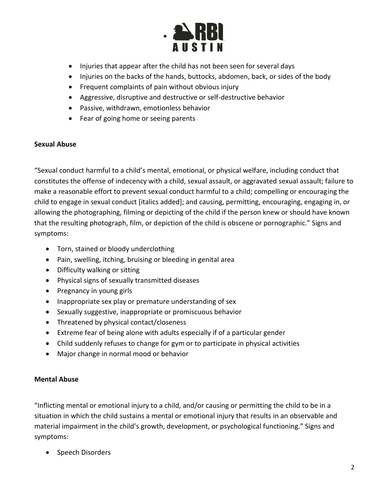

- Injuries that appear after the child has not been seen for several days
- Injuries on the backs of the hands, buttocks, abdomen, back, or sides of the body
- Frequent complaints of pain without obvious injury
- Aggressive, disruptive and destructive or self-destructive behavior
- Passive, withdrawn, emotionless behavior
- Fear of going home or seeing parents

# **Sexual Abuse**

"Sexual conduct harmful to a child's mental, emotional, or physical welfare, including conduct that constitutes the offense of indecency with a child, sexual assault, or aggravated sexual assault; failure to make a reasonable effort to prevent sexual conduct harmful to a child; compelling or encouraging the child to engage in sexual conduct [italics added]; and causing, permitting, encouraging, engaging in, or allowing the photographing, filming or depicting of the child if the person knew or should have known that the resulting photograph, film, or depiction of the child is obscene or pornographic." Signs and symptoms:

- Torn, stained or bloody underclothing
- Pain, swelling, itching, bruising or bleeding in genital area
- Difficulty walking or sitting
- Physical signs of sexually transmitted diseases
- Pregnancy in young girls
- Inappropriate sex play or premature understanding of sex
- Sexually suggestive, inappropriate or promiscuous behavior
- Threatened by physical contact/closeness
- Extreme fear of being alone with adults especially if of a particular gender
- Child suddenly refuses to change for gym or to participate in physical activities
- Major change in normal mood or behavior

# **Mental Abuse**

"Inflicting mental or emotional injury to a child, and/or causing or permitting the child to be in a situation in which the child sustains a mental or emotional injury that results in an observable and material impairment in the child's growth, development, or psychological functioning." Signs and symptoms:

• Speech Disorders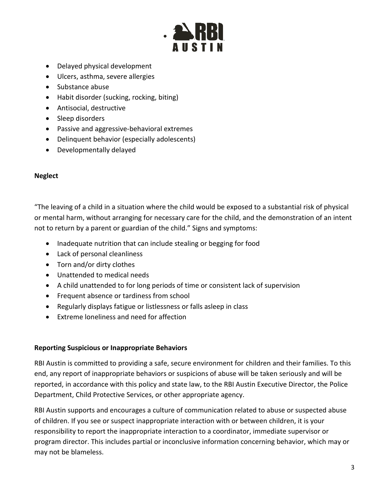

- Delayed physical development
- Ulcers, asthma, severe allergies
- Substance abuse
- Habit disorder (sucking, rocking, biting)
- Antisocial, destructive
- Sleep disorders
- Passive and aggressive-behavioral extremes
- Delinquent behavior (especially adolescents)
- Developmentally delayed

# **Neglect**

"The leaving of a child in a situation where the child would be exposed to a substantial risk of physical or mental harm, without arranging for necessary care for the child, and the demonstration of an intent not to return by a parent or guardian of the child." Signs and symptoms:

- Inadequate nutrition that can include stealing or begging for food
- Lack of personal cleanliness
- Torn and/or dirty clothes
- Unattended to medical needs
- A child unattended to for long periods of time or consistent lack of supervision
- Frequent absence or tardiness from school
- Regularly displays fatigue or listlessness or falls asleep in class
- Extreme loneliness and need for affection

# **Reporting Suspicious or Inappropriate Behaviors**

RBI Austin is committed to providing a safe, secure environment for children and their families. To this end, any report of inappropriate behaviors or suspicions of abuse will be taken seriously and will be reported, in accordance with this policy and state law, to the RBI Austin Executive Director, the Police Department, Child Protective Services, or other appropriate agency.

RBI Austin supports and encourages a culture of communication related to abuse or suspected abuse of children. If you see or suspect inappropriate interaction with or between children, it is your responsibility to report the inappropriate interaction to a coordinator, immediate supervisor or program director. This includes partial or inconclusive information concerning behavior, which may or may not be blameless.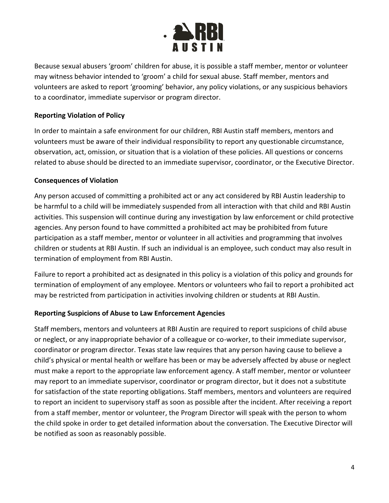

Because sexual abusers 'groom' children for abuse, it is possible a staff member, mentor or volunteer may witness behavior intended to 'groom' a child for sexual abuse. Staff member, mentors and volunteers are asked to report 'grooming' behavior, any policy violations, or any suspicious behaviors to a coordinator, immediate supervisor or program director.

# **Reporting Violation of Policy**

In order to maintain a safe environment for our children, RBI Austin staff members, mentors and volunteers must be aware of their individual responsibility to report any questionable circumstance, observation, act, omission, or situation that is a violation of these policies. All questions or concerns related to abuse should be directed to an immediate supervisor, coordinator, or the Executive Director.

# **Consequences of Violation**

Any person accused of committing a prohibited act or any act considered by RBI Austin leadership to be harmful to a child will be immediately suspended from all interaction with that child and RBI Austin activities. This suspension will continue during any investigation by law enforcement or child protective agencies. Any person found to have committed a prohibited act may be prohibited from future participation as a staff member, mentor or volunteer in all activities and programming that involves children or students at RBI Austin. If such an individual is an employee, such conduct may also result in termination of employment from RBI Austin.

Failure to report a prohibited act as designated in this policy is a violation of this policy and grounds for termination of employment of any employee. Mentors or volunteers who fail to report a prohibited act may be restricted from participation in activities involving children or students at RBI Austin.

# **Reporting Suspicions of Abuse to Law Enforcement Agencies**

Staff members, mentors and volunteers at RBI Austin are required to report suspicions of child abuse or neglect, or any inappropriate behavior of a colleague or co-worker, to their immediate supervisor, coordinator or program director. Texas state law requires that any person having cause to believe a child's physical or mental health or welfare has been or may be adversely affected by abuse or neglect must make a report to the appropriate law enforcement agency. A staff member, mentor or volunteer may report to an immediate supervisor, coordinator or program director, but it does not a substitute for satisfaction of the state reporting obligations. Staff members, mentors and volunteers are required to report an incident to supervisory staff as soon as possible after the incident. After receiving a report from a staff member, mentor or volunteer, the Program Director will speak with the person to whom the child spoke in order to get detailed information about the conversation. The Executive Director will be notified as soon as reasonably possible.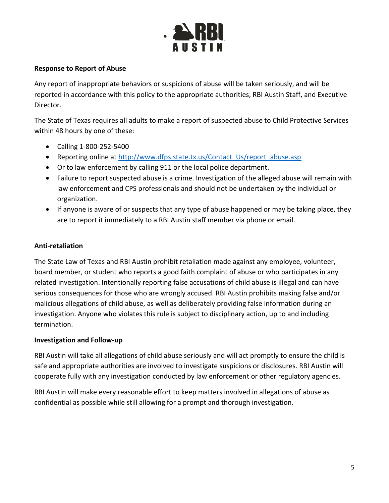

#### **Response to Report of Abuse**

Any report of inappropriate behaviors or suspicions of abuse will be taken seriously, and will be reported in accordance with this policy to the appropriate authorities, RBI Austin Staff, and Executive Director.

The State of Texas requires all adults to make a report of suspected abuse to Child Protective Services within 48 hours by one of these:

- Calling 1-800-252-5400
- Reporting online at [http://www.dfps.state.tx.us/Contact\\_Us/report\\_abuse.asp](http://www.dfps.state.tx.us/Contact_Us/report_abuse.asp)
- Or to law enforcement by calling 911 or the local police department.
- Failure to report suspected abuse is a crime. Investigation of the alleged abuse will remain with law enforcement and CPS professionals and should not be undertaken by the individual or organization.
- If anyone is aware of or suspects that any type of abuse happened or may be taking place, they are to report it immediately to a RBI Austin staff member via phone or email.

#### **Anti-retaliation**

The State Law of Texas and RBI Austin prohibit retaliation made against any employee, volunteer, board member, or student who reports a good faith complaint of abuse or who participates in any related investigation. Intentionally reporting false accusations of child abuse is illegal and can have serious consequences for those who are wrongly accused. RBI Austin prohibits making false and/or malicious allegations of child abuse, as well as deliberately providing false information during an investigation. Anyone who violates this rule is subject to disciplinary action, up to and including termination.

#### **Investigation and Follow-up**

RBI Austin will take all allegations of child abuse seriously and will act promptly to ensure the child is safe and appropriate authorities are involved to investigate suspicions or disclosures. RBI Austin will cooperate fully with any investigation conducted by law enforcement or other regulatory agencies.

RBI Austin will make every reasonable effort to keep matters involved in allegations of abuse as confidential as possible while still allowing for a prompt and thorough investigation.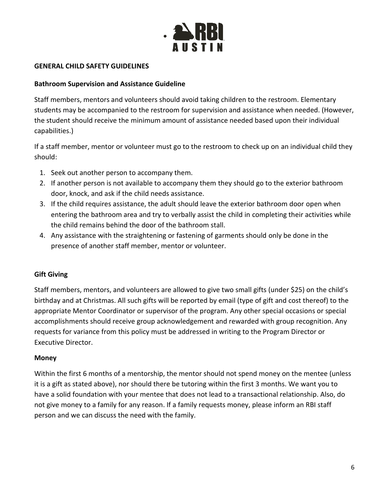

#### **GENERAL CHILD SAFETY GUIDELINES**

#### **Bathroom Supervision and Assistance Guideline**

Staff members, mentors and volunteers should avoid taking children to the restroom. Elementary students may be accompanied to the restroom for supervision and assistance when needed. (However, the student should receive the minimum amount of assistance needed based upon their individual capabilities.)

If a staff member, mentor or volunteer must go to the restroom to check up on an individual child they should:

- 1. Seek out another person to accompany them.
- 2. If another person is not available to accompany them they should go to the exterior bathroom door, knock, and ask if the child needs assistance.
- 3. If the child requires assistance, the adult should leave the exterior bathroom door open when entering the bathroom area and try to verbally assist the child in completing their activities while the child remains behind the door of the bathroom stall.
- 4. Any assistance with the straightening or fastening of garments should only be done in the presence of another staff member, mentor or volunteer.

# **Gift Giving**

Staff members, mentors, and volunteers are allowed to give two small gifts (under \$25) on the child's birthday and at Christmas. All such gifts will be reported by email (type of gift and cost thereof) to the appropriate Mentor Coordinator or supervisor of the program. Any other special occasions or special accomplishments should receive group acknowledgement and rewarded with group recognition. Any requests for variance from this policy must be addressed in writing to the Program Director or Executive Director.

#### **Money**

Within the first 6 months of a mentorship, the mentor should not spend money on the mentee (unless it is a gift as stated above), nor should there be tutoring within the first 3 months. We want you to have a solid foundation with your mentee that does not lead to a transactional relationship. Also, do not give money to a family for any reason. If a family requests money, please inform an RBI staff person and we can discuss the need with the family.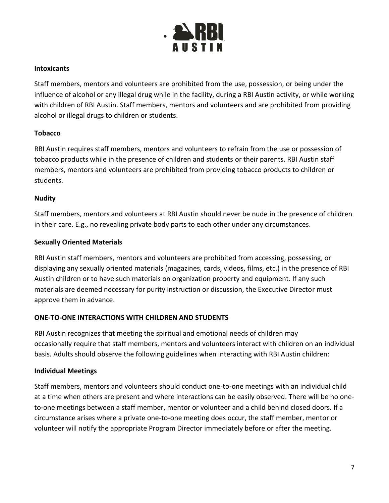

#### **Intoxicants**

Staff members, mentors and volunteers are prohibited from the use, possession, or being under the influence of alcohol or any illegal drug while in the facility, during a RBI Austin activity, or while working with children of RBI Austin. Staff members, mentors and volunteers and are prohibited from providing alcohol or illegal drugs to children or students.

# **Tobacco**

RBI Austin requires staff members, mentors and volunteers to refrain from the use or possession of tobacco products while in the presence of children and students or their parents. RBI Austin staff members, mentors and volunteers are prohibited from providing tobacco products to children or students.

#### **Nudity**

Staff members, mentors and volunteers at RBI Austin should never be nude in the presence of children in their care. E.g., no revealing private body parts to each other under any circumstances.

# **Sexually Oriented Materials**

RBI Austin staff members, mentors and volunteers are prohibited from accessing, possessing, or displaying any sexually oriented materials (magazines, cards, videos, films, etc.) in the presence of RBI Austin children or to have such materials on organization property and equipment. If any such materials are deemed necessary for purity instruction or discussion, the Executive Director must approve them in advance.

# **ONE-TO-ONE INTERACTIONS WITH CHILDREN AND STUDENTS**

RBI Austin recognizes that meeting the spiritual and emotional needs of children may occasionally require that staff members, mentors and volunteers interact with children on an individual basis. Adults should observe the following guidelines when interacting with RBI Austin children:

# **Individual Meetings**

Staff members, mentors and volunteers should conduct one-to-one meetings with an individual child at a time when others are present and where interactions can be easily observed. There will be no oneto-one meetings between a staff member, mentor or volunteer and a child behind closed doors. If a circumstance arises where a private one-to-one meeting does occur, the staff member, mentor or volunteer will notify the appropriate Program Director immediately before or after the meeting.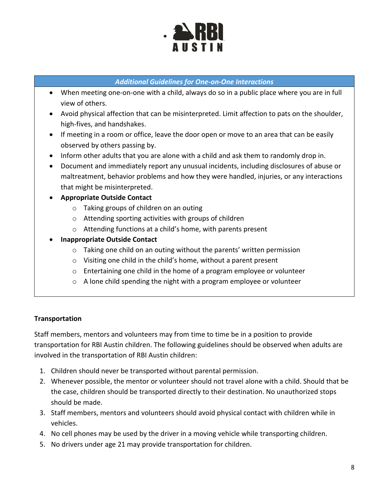

#### *Additional Guidelines for One-on-One Interactions*

- When meeting one-on-one with a child, always do so in a public place where you are in full view of others.
- Avoid physical affection that can be misinterpreted. Limit affection to pats on the shoulder, high-fives, and handshakes.
- If meeting in a room or office, leave the door open or move to an area that can be easily observed by others passing by.
- Inform other adults that you are alone with a child and ask them to randomly drop in.
- Document and immediately report any unusual incidents, including disclosures of abuse or maltreatment, behavior problems and how they were handled, injuries, or any interactions that might be misinterpreted.
- **Appropriate Outside Contact**
	- o Taking groups of children on an outing
	- o Attending sporting activities with groups of children
	- o Attending functions at a child's home, with parents present
- **Inappropriate Outside Contact**
	- o Taking one child on an outing without the parents' written permission
	- o Visiting one child in the child's home, without a parent present
	- o Entertaining one child in the home of a program employee or volunteer
	- o A lone child spending the night with a program employee or volunteer

#### **Transportation**

Staff members, mentors and volunteers may from time to time be in a position to provide transportation for RBI Austin children. The following guidelines should be observed when adults are involved in the transportation of RBI Austin children:

- 1. Children should never be transported without parental permission.
- 2. Whenever possible, the mentor or volunteer should not travel alone with a child. Should that be the case, children should be transported directly to their destination. No unauthorized stops should be made.
- 3. Staff members, mentors and volunteers should avoid physical contact with children while in vehicles.
- 4. No cell phones may be used by the driver in a moving vehicle while transporting children.
- 5. No drivers under age 21 may provide transportation for children.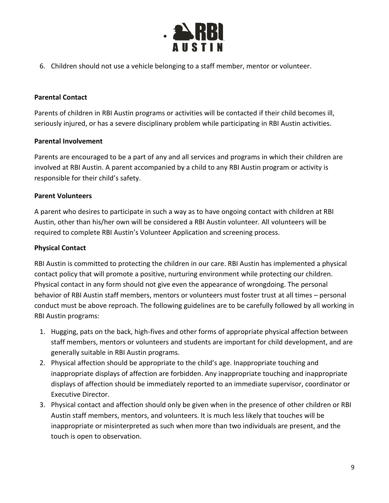

6. Children should not use a vehicle belonging to a staff member, mentor or volunteer.

#### **Parental Contact**

Parents of children in RBI Austin programs or activities will be contacted if their child becomes ill, seriously injured, or has a severe disciplinary problem while participating in RBI Austin activities.

#### **Parental Involvement**

Parents are encouraged to be a part of any and all services and programs in which their children are involved at RBI Austin. A parent accompanied by a child to any RBI Austin program or activity is responsible for their child's safety.

#### **Parent Volunteers**

A parent who desires to participate in such a way as to have ongoing contact with children at RBI Austin, other than his/her own will be considered a RBI Austin volunteer. All volunteers will be required to complete RBI Austin's Volunteer Application and screening process.

#### **Physical Contact**

RBI Austin is committed to protecting the children in our care. RBI Austin has implemented a physical contact policy that will promote a positive, nurturing environment while protecting our children. Physical contact in any form should not give even the appearance of wrongdoing. The personal behavior of RBI Austin staff members, mentors or volunteers must foster trust at all times – personal conduct must be above reproach. The following guidelines are to be carefully followed by all working in RBI Austin programs:

- 1. Hugging, pats on the back, high-fives and other forms of appropriate physical affection between staff members, mentors or volunteers and students are important for child development, and are generally suitable in RBI Austin programs.
- 2. Physical affection should be appropriate to the child's age. Inappropriate touching and inappropriate displays of affection are forbidden. Any inappropriate touching and inappropriate displays of affection should be immediately reported to an immediate supervisor, coordinator or Executive Director.
- 3. Physical contact and affection should only be given when in the presence of other children or RBI Austin staff members, mentors, and volunteers. It is much less likely that touches will be inappropriate or misinterpreted as such when more than two individuals are present, and the touch is open to observation.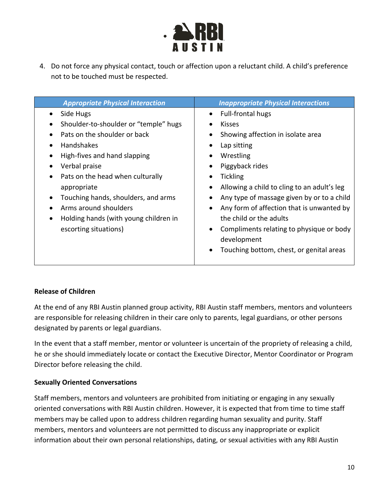

4. Do not force any physical contact, touch or affection upon a reluctant child. A child's preference not to be touched must be respected.

| <b>Appropriate Physical Interaction</b>            | <b>Inappropriate Physical Interactions</b>  |
|----------------------------------------------------|---------------------------------------------|
| Side Hugs                                          | Full-frontal hugs                           |
| Shoulder-to-shoulder or "temple" hugs<br>٠         | <b>Kisses</b>                               |
| Pats on the shoulder or back                       | Showing affection in isolate area           |
| <b>Handshakes</b>                                  | Lap sitting                                 |
| High-fives and hand slapping                       | Wrestling                                   |
| Verbal praise                                      | Piggyback rides                             |
| Pats on the head when culturally                   | <b>Tickling</b>                             |
| appropriate                                        | Allowing a child to cling to an adult's leg |
| Touching hands, shoulders, and arms                | Any type of massage given by or to a child  |
| Arms around shoulders                              | Any form of affection that is unwanted by   |
| Holding hands (with young children in<br>$\bullet$ | the child or the adults                     |
| escorting situations)                              | Compliments relating to physique or body    |
|                                                    | development                                 |
|                                                    | Touching bottom, chest, or genital areas    |
|                                                    |                                             |

# **Release of Children**

At the end of any RBI Austin planned group activity, RBI Austin staff members, mentors and volunteers are responsible for releasing children in their care only to parents, legal guardians, or other persons designated by parents or legal guardians.

In the event that a staff member, mentor or volunteer is uncertain of the propriety of releasing a child, he or she should immediately locate or contact the Executive Director, Mentor Coordinator or Program Director before releasing the child.

# **Sexually Oriented Conversations**

Staff members, mentors and volunteers are prohibited from initiating or engaging in any sexually oriented conversations with RBI Austin children. However, it is expected that from time to time staff members may be called upon to address children regarding human sexuality and purity. Staff members, mentors and volunteers are not permitted to discuss any inappropriate or explicit information about their own personal relationships, dating, or sexual activities with any RBI Austin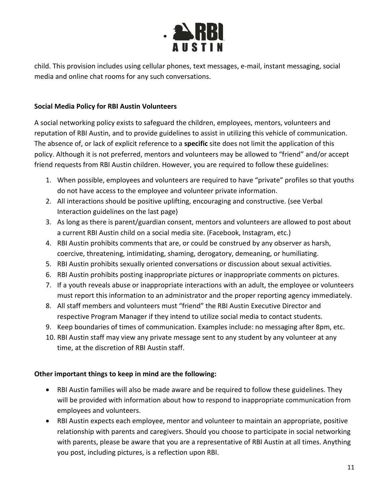

child. This provision includes using cellular phones, text messages, e-mail, instant messaging, social media and online chat rooms for any such conversations.

# **Social Media Policy for RBI Austin Volunteers**

A social networking policy exists to safeguard the children, employees, mentors, volunteers and reputation of RBI Austin, and to provide guidelines to assist in utilizing this vehicle of communication. The absence of, or lack of explicit reference to a **specific** site does not limit the application of this policy. Although it is not preferred, mentors and volunteers may be allowed to "friend" and/or accept friend requests from RBI Austin children. However, you are required to follow these guidelines:

- 1. When possible, employees and volunteers are required to have "private" profiles so that youths do not have access to the employee and volunteer private information.
- 2. All interactions should be positive uplifting, encouraging and constructive. (see Verbal Interaction guidelines on the last page)
- 3. As long as there is parent/guardian consent, mentors and volunteers are allowed to post about a current RBI Austin child on a social media site. (Facebook, Instagram, etc.)
- 4. RBI Austin prohibits comments that are, or could be construed by any observer as harsh, coercive, threatening, intimidating, shaming, derogatory, demeaning, or humiliating.
- 5. RBI Austin prohibits sexually oriented conversations or discussion about sexual activities.
- 6. RBI Austin prohibits posting inappropriate pictures or inappropriate comments on pictures.
- 7. If a youth reveals abuse or inappropriate interactions with an adult, the employee or volunteers must report this information to an administrator and the proper reporting agency immediately.
- 8. All staff members and volunteers must "friend" the RBI Austin Executive Director and respective Program Manager if they intend to utilize social media to contact students.
- 9. Keep boundaries of times of communication. Examples include: no messaging after 8pm, etc.
- 10. RBI Austin staff may view any private message sent to any student by any volunteer at any time, at the discretion of RBI Austin staff.

# **Other important things to keep in mind are the following:**

- RBI Austin families will also be made aware and be required to follow these guidelines. They will be provided with information about how to respond to inappropriate communication from employees and volunteers.
- RBI Austin expects each employee, mentor and volunteer to maintain an appropriate, positive relationship with parents and caregivers. Should you choose to participate in social networking with parents, please be aware that you are a representative of RBI Austin at all times. Anything you post, including pictures, is a reflection upon RBI.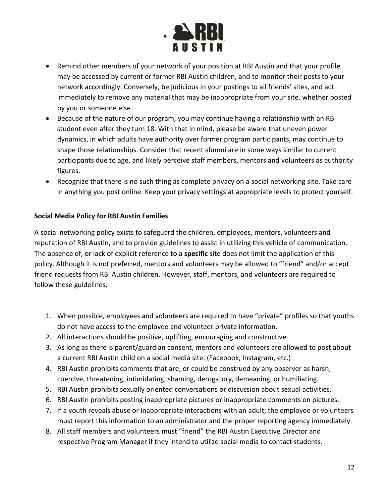

- Remind other members of your network of your position at RBI Austin and that your profile may be accessed by current or former RBI Austin children, and to monitor their posts to your network accordingly. Conversely, be judicious in your postings to all friends' sites, and act immediately to remove any material that may be inappropriate from your site, whether posted by you or someone else.
- Because of the nature of our program, you may continue having a relationship with an RBI student even after they turn 18. With that in mind, please be aware that uneven power dynamics, in which adults have authority over former program participants, may continue to shape those relationships. Consider that recent alumni are in some ways similar to current participants due to age, and likely perceive staff members, mentors and volunteers as authority figures.
- Recognize that there is no such thing as complete privacy on a social networking site. Take care in anything you post online. Keep your privacy settings at appropriate levels to protect yourself.

# **Social Media Policy for RBI Austin Families**

A social networking policy exists to safeguard the children, employees, mentors, volunteers and reputation of RBI Austin, and to provide guidelines to assist in utilizing this vehicle of communication. The absence of, or lack of explicit reference to a **specific** site does not limit the application of this policy. Although it is not preferred, mentors and volunteers may be allowed to "friend" and/or accept friend requests from RBI Austin children. However, staff, mentors, and volunteers are required to follow these guidelines:

- 1. When possible, employees and volunteers are required to have "private" profiles so that youths do not have access to the employee and volunteer private information.
- 2. All interactions should be positive, uplifting, encouraging and constructive.
- 3. As long as there is parent/guardian consent, mentors and volunteers are allowed to post about a current RBI Austin child on a social media site. (Facebook, Instagram, etc.)
- 4. RBI Austin prohibits comments that are, or could be construed by any observer as harsh, coercive, threatening, intimidating, shaming, derogatory, demeaning, or humiliating.
- 5. RBI Austin prohibits sexually oriented conversations or discussion about sexual activities.
- 6. RBI Austin prohibits posting inappropriate pictures or inappropriate comments on pictures.
- 7. If a youth reveals abuse or inappropriate interactions with an adult, the employee or volunteers must report this information to an administrator and the proper reporting agency immediately.
- 8. All staff members and volunteers must "friend" the RBI Austin Executive Director and respective Program Manager if they intend to utilize social media to contact students.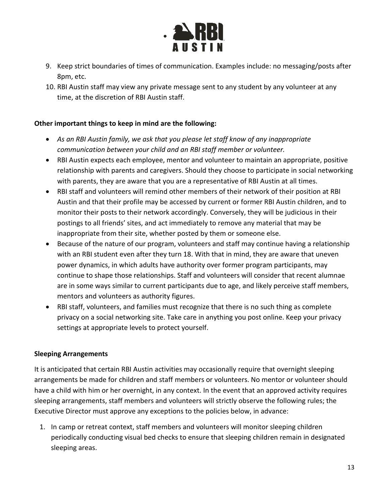

- 9. Keep strict boundaries of times of communication. Examples include: no messaging/posts after 8pm, etc.
- 10. RBI Austin staff may view any private message sent to any student by any volunteer at any time, at the discretion of RBI Austin staff.

# **Other important things to keep in mind are the following:**

- *As an RBI Austin family, we ask that you please let staff know of any inappropriate communication between your child and an RBI staff member or volunteer.*
- RBI Austin expects each employee, mentor and volunteer to maintain an appropriate, positive relationship with parents and caregivers. Should they choose to participate in social networking with parents, they are aware that you are a representative of RBI Austin at all times.
- RBI staff and volunteers will remind other members of their network of their position at RBI Austin and that their profile may be accessed by current or former RBI Austin children, and to monitor their posts to their network accordingly. Conversely, they will be judicious in their postings to all friends' sites, and act immediately to remove any material that may be inappropriate from their site, whether posted by them or someone else.
- Because of the nature of our program, volunteers and staff may continue having a relationship with an RBI student even after they turn 18. With that in mind, they are aware that uneven power dynamics, in which adults have authority over former program participants, may continue to shape those relationships. Staff and volunteers will consider that recent alumnae are in some ways similar to current participants due to age, and likely perceive staff members, mentors and volunteers as authority figures.
- RBI staff, volunteers, and families must recognize that there is no such thing as complete privacy on a social networking site. Take care in anything you post online. Keep your privacy settings at appropriate levels to protect yourself.

# **Sleeping Arrangements**

It is anticipated that certain RBI Austin activities may occasionally require that overnight sleeping arrangements be made for children and staff members or volunteers. No mentor or volunteer should have a child with him or her overnight, in any context. In the event that an approved activity requires sleeping arrangements, staff members and volunteers will strictly observe the following rules; the Executive Director must approve any exceptions to the policies below, in advance:

1. In camp or retreat context, staff members and volunteers will monitor sleeping children periodically conducting visual bed checks to ensure that sleeping children remain in designated sleeping areas.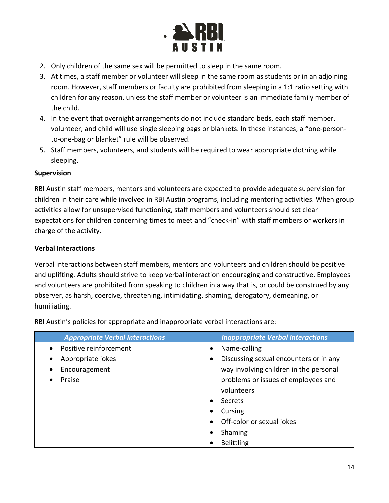

- 2. Only children of the same sex will be permitted to sleep in the same room.
- 3. At times, a staff member or volunteer will sleep in the same room as students or in an adjoining room. However, staff members or faculty are prohibited from sleeping in a 1:1 ratio setting with children for any reason, unless the staff member or volunteer is an immediate family member of the child.
- 4. In the event that overnight arrangements do not include standard beds, each staff member, volunteer, and child will use single sleeping bags or blankets. In these instances, a "one-personto-one-bag or blanket" rule will be observed.
- 5. Staff members, volunteers, and students will be required to wear appropriate clothing while sleeping.

#### **Supervision**

RBI Austin staff members, mentors and volunteers are expected to provide adequate supervision for children in their care while involved in RBI Austin programs, including mentoring activities. When group activities allow for unsupervised functioning, staff members and volunteers should set clear expectations for children concerning times to meet and "check-in" with staff members or workers in charge of the activity.

#### **Verbal Interactions**

Verbal interactions between staff members, mentors and volunteers and children should be positive and uplifting. Adults should strive to keep verbal interaction encouraging and constructive. Employees and volunteers are prohibited from speaking to children in a way that is, or could be construed by any observer, as harsh, coercive, threatening, intimidating, shaming, derogatory, demeaning, or humiliating.

RBI Austin's policies for appropriate and inappropriate verbal interactions are:

| <b>Appropriate Verbal Interactions</b> | <b>Inappropriate Verbal Interactions</b>            |
|----------------------------------------|-----------------------------------------------------|
| Positive reinforcement<br>$\bullet$    | Name-calling<br>٠                                   |
| Appropriate jokes                      | Discussing sexual encounters or in any<br>$\bullet$ |
| Encouragement                          | way involving children in the personal              |
| Praise                                 | problems or issues of employees and                 |
|                                        | volunteers                                          |
|                                        | Secrets<br>$\bullet$                                |
|                                        | Cursing<br>$\bullet$                                |
|                                        | Off-color or sexual jokes<br>$\bullet$              |
|                                        | Shaming                                             |
|                                        | <b>Belittling</b>                                   |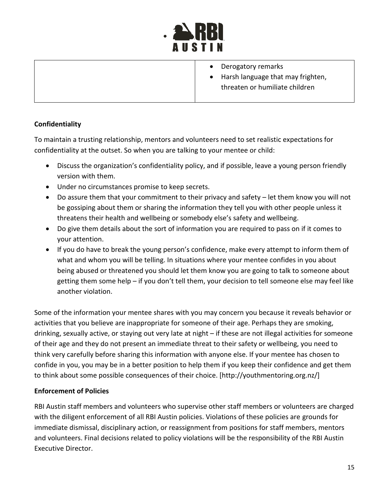

| Derogatory remarks<br>$\bullet$                |
|------------------------------------------------|
| Harsh language that may frighten,<br>$\bullet$ |
| threaten or humiliate children                 |
|                                                |

# **Confidentiality**

To maintain a trusting relationship, mentors and volunteers need to set realistic expectations for confidentiality at the outset. So when you are talking to your mentee or child:

- Discuss the organization's confidentiality policy, and if possible, leave a young person friendly version with them.
- Under no circumstances promise to keep secrets.
- Do assure them that your commitment to their privacy and safety let them know you will not be gossiping about them or sharing the information they tell you with other people unless it threatens their health and wellbeing or somebody else's safety and wellbeing.
- Do give them details about the sort of information you are required to pass on if it comes to your attention.
- If you do have to break the young person's confidence, make every attempt to inform them of what and whom you will be telling. In situations where your mentee confides in you about being abused or threatened you should let them know you are going to talk to someone about getting them some help – if you don't tell them, your decision to tell someone else may feel like another violation.

Some of the information your mentee shares with you may concern you because it reveals behavior or activities that you believe are inappropriate for someone of their age. Perhaps they are smoking, drinking, sexually active, or staying out very late at night – if these are not illegal activities for someone of their age and they do not present an immediate threat to their safety or wellbeing, you need to think very carefully before sharing this information with anyone else. If your mentee has chosen to confide in you, you may be in a better position to help them if you keep their confidence and get them to think about some possible consequences of their choice. [http://youthmentoring.org.nz/]

# **Enforcement of Policies**

RBI Austin staff members and volunteers who supervise other staff members or volunteers are charged with the diligent enforcement of all RBI Austin policies. Violations of these policies are grounds for immediate dismissal, disciplinary action, or reassignment from positions for staff members, mentors and volunteers. Final decisions related to policy violations will be the responsibility of the RBI Austin Executive Director.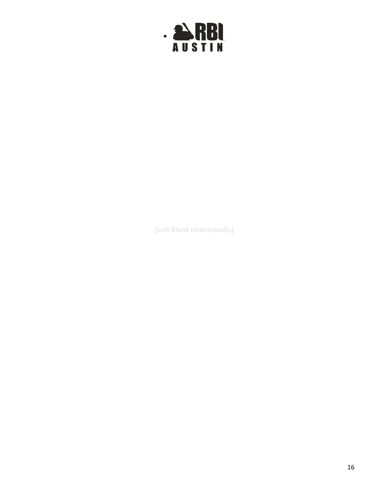

**[Left Blank Intentionally]**